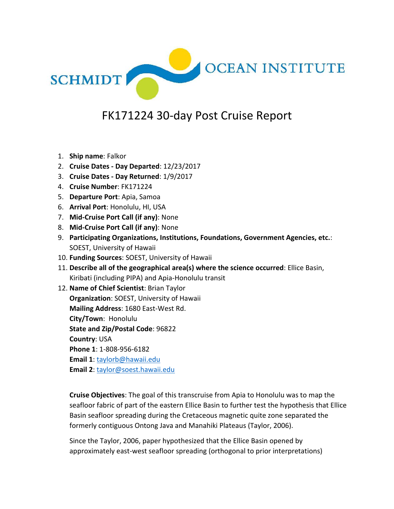

## FK171224 30-day Post Cruise Report

- 1. **Ship name**: Falkor
- 2. **Cruise Dates - Day Departed**: 12/23/2017
- 3. **Cruise Dates - Day Returned**: 1/9/2017
- 4. **Cruise Number**: FK171224
- 5. **Departure Port**: Apia, Samoa
- 6. **Arrival Port**: Honolulu, HI, USA
- 7. **Mid-Cruise Port Call (if any)**: None
- 8. **Mid-Cruise Port Call (if any)**: None
- 9. **Participating Organizations, Institutions, Foundations, Government Agencies, etc.**: SOEST, University of Hawaii
- 10. **Funding Sources**: SOEST, University of Hawaii
- 11. **Describe all of the geographical area(s) where the science occurred**: Ellice Basin, Kiribati (including PIPA) and Apia-Honolulu transit

12. **Name of Chief Scientist**: Brian Taylor **Organization**: SOEST, University of Hawaii **Mailing Address**: 1680 East-West Rd. **City/Town**: Honolulu **State and Zip/Postal Code**: 96822 **Country**: USA **Phone 1**: 1-808-956-6182 **Email 1**: [taylorb@hawaii.edu](mailto:taylorb@hawaii.edu) **Email 2**: [taylor@soest.hawaii.edu](mailto:taylor@soest.hawaii.edu)

**Cruise Objectives**: The goal of this transcruise from Apia to Honolulu was to map the seafloor fabric of part of the eastern Ellice Basin to further test the hypothesis that Ellice Basin seafloor spreading during the Cretaceous magnetic quite zone separated the formerly contiguous Ontong Java and Manahiki Plateaus (Taylor, 2006).

Since the Taylor, 2006, paper hypothesized that the Ellice Basin opened by approximately east-west seafloor spreading (orthogonal to prior interpretations)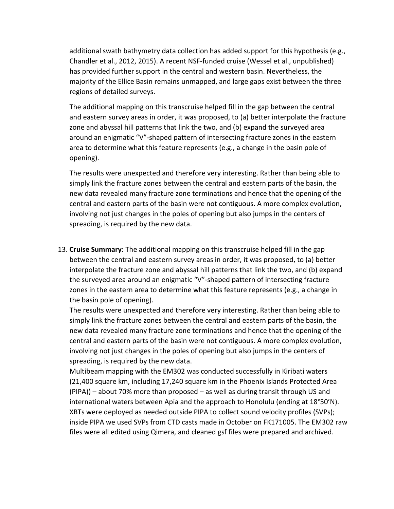additional swath bathymetry data collection has added support for this hypothesis (e.g., Chandler et al., 2012, 2015). A recent NSF-funded cruise (Wessel et al., unpublished) has provided further support in the central and western basin. Nevertheless, the majority of the Ellice Basin remains unmapped, and large gaps exist between the three regions of detailed surveys.

The additional mapping on this transcruise helped fill in the gap between the central and eastern survey areas in order, it was proposed, to (a) better interpolate the fracture zone and abyssal hill patterns that link the two, and (b) expand the surveyed area around an enigmatic "V"-shaped pattern of intersecting fracture zones in the eastern area to determine what this feature represents (e.g., a change in the basin pole of opening).

The results were unexpected and therefore very interesting. Rather than being able to simply link the fracture zones between the central and eastern parts of the basin, the new data revealed many fracture zone terminations and hence that the opening of the central and eastern parts of the basin were not contiguous. A more complex evolution, involving not just changes in the poles of opening but also jumps in the centers of spreading, is required by the new data.

13. **Cruise Summary**: The additional mapping on this transcruise helped fill in the gap between the central and eastern survey areas in order, it was proposed, to (a) better interpolate the fracture zone and abyssal hill patterns that link the two, and (b) expand the surveyed area around an enigmatic "V"-shaped pattern of intersecting fracture zones in the eastern area to determine what this feature represents (e.g., a change in the basin pole of opening).

The results were unexpected and therefore very interesting. Rather than being able to simply link the fracture zones between the central and eastern parts of the basin, the new data revealed many fracture zone terminations and hence that the opening of the central and eastern parts of the basin were not contiguous. A more complex evolution, involving not just changes in the poles of opening but also jumps in the centers of spreading, is required by the new data.

Multibeam mapping with the EM302 was conducted successfully in Kiribati waters (21,400 square km, including 17,240 square km in the Phoenix Islands Protected Area (PIPA)) – about 70% more than proposed – as well as during transit through US and international waters between Apia and the approach to Honolulu (ending at 18°50'N). XBTs were deployed as needed outside PIPA to collect sound velocity profiles (SVPs); inside PIPA we used SVPs from CTD casts made in October on FK171005. The EM302 raw files were all edited using Qimera, and cleaned gsf files were prepared and archived.